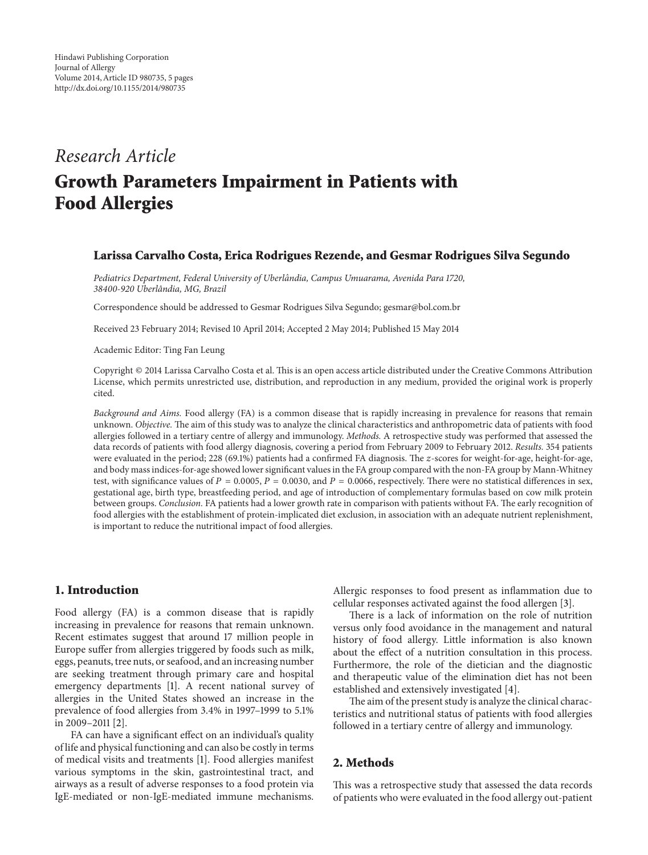# *Research Article*

# **Growth Parameters Impairment in Patients with Food Allergies**

#### **Larissa Carvalho Costa, Erica Rodrigues Rezende, and Gesmar Rodrigues Silva Segundo**

*Pediatrics Department, Federal University of Uberlandia, Campus Umuarama, Avenida Para 1720, ˆ 38400-920 Uberlandia, MG, Brazil ˆ*

Correspondence should be addressed to Gesmar Rodrigues Silva Segundo; gesmar@bol.com.br

Received 23 February 2014; Revised 10 April 2014; Accepted 2 May 2014; Published 15 May 2014

Academic Editor: Ting Fan Leung

Copyright © 2014 Larissa Carvalho Costa et al. This is an open access article distributed under the Creative Commons Attribution License, which permits unrestricted use, distribution, and reproduction in any medium, provided the original work is properly cited.

*Background and Aims.* Food allergy (FA) is a common disease that is rapidly increasing in prevalence for reasons that remain unknown. *Objective.* The aim of this study was to analyze the clinical characteristics and anthropometric data of patients with food allergies followed in a tertiary centre of allergy and immunology. *Methods.* A retrospective study was performed that assessed the data records of patients with food allergy diagnosis, covering a period from February 2009 to February 2012. *Results.* 354 patients were evaluated in the period; 228 (69.1%) patients had a confirmed FA diagnosis. The z-scores for weight-for-age, height-for-age, and body mass indices-for-age showed lower significant values in the FA group compared with the non-FA group by Mann-Whitney test, with significance values of  $P = 0.0005$ ,  $P = 0.0030$ , and  $P = 0.0066$ , respectively. There were no statistical differences in sex, gestational age, birth type, breastfeeding period, and age of introduction of complementary formulas based on cow milk protein between groups. *Conclusion.* FA patients had a lower growth rate in comparison with patients without FA. The early recognition of food allergies with the establishment of protein-implicated diet exclusion, in association with an adequate nutrient replenishment, is important to reduce the nutritional impact of food allergies.

#### **1. Introduction**

Food allergy (FA) is a common disease that is rapidly increasing in prevalence for reasons that remain unknown. Recent estimates suggest that around 17 million people in Europe suffer from allergies triggered by foods such as milk, eggs, peanuts, tree nuts, or seafood, and an increasing number are seeking treatment through primary care and hospital emergency departments [1]. A recent national survey of allergies in the United States showed an increase in the prevalence of food allergies from 3.4% in 1997–1999 to 5.1% in 2009–2011 [2].

FA can have a significant effect on an individual's quality of life and physical functioning and can also be costly in terms of medical visits and treatments [1]. Food allergies manifest various symptoms in the skin, gastrointestinal tract, and airways as a result of adverse responses to a food protein via IgE-mediated or non-IgE-mediated immune mechanisms. Allergic responses to food present as inflammation due to cellular responses activated against the food allergen [3].

There is a lack of information on the role of nutrition versus only food avoidance in the management and natural history of food allergy. Little information is also known about the effect of a nutrition consultation in this process. Furthermore, the role of the dietician and the diagnostic and therapeutic value of the elimination diet has not been established and extensively investigated [4].

The aim of the present study is analyze the clinical characteristics and nutritional status of patients with food allergies followed in a tertiary centre of allergy and immunology.

#### **2. Methods**

This was a retrospective study that assessed the data records of patients who were evaluated in the food allergy out-patient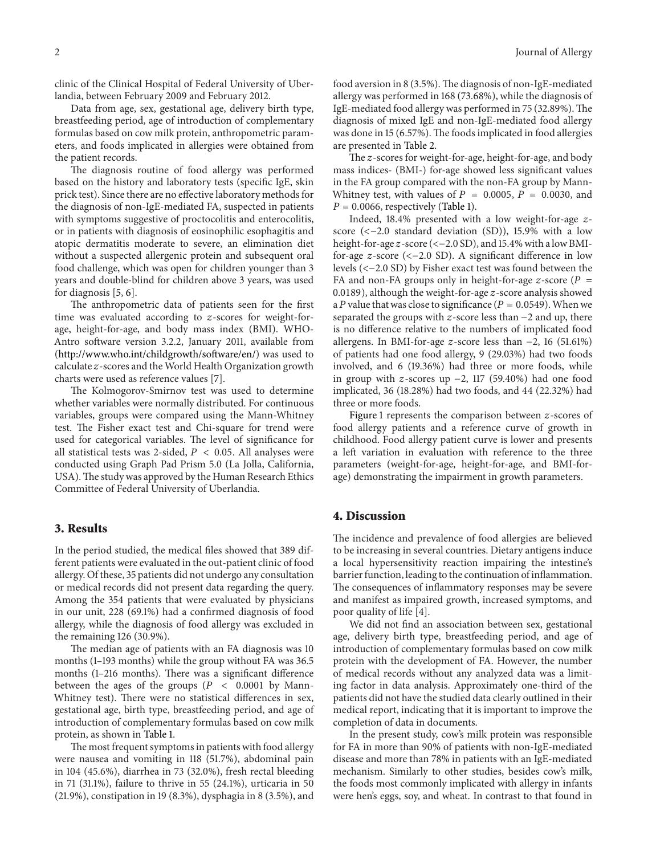clinic of the Clinical Hospital of Federal University of Uberlandia, between February 2009 and February 2012.

Data from age, sex, gestational age, delivery birth type, breastfeeding period, age of introduction of complementary formulas based on cow milk protein, anthropometric parameters, and foods implicated in allergies were obtained from the patient records.

The diagnosis routine of food allergy was performed based on the history and laboratory tests (specific IgE, skin prick test). Since there are no effective laboratory methods for the diagnosis of non-IgE-mediated FA, suspected in patients with symptoms suggestive of proctocolitis and enterocolitis, or in patients with diagnosis of eosinophilic esophagitis and atopic dermatitis moderate to severe, an elimination diet without a suspected allergenic protein and subsequent oral food challenge, which was open for children younger than 3 years and double-blind for children above 3 years, was used for diagnosis [5, 6].

The anthropometric data of patients seen for the first time was evaluated according to  $z$ -scores for weight-forage, height-for-age, and body mass index (BMI). WHO-Antro software version 3.2.2, January 2011, available from (http://www.who.int/childgrowth/software/en/) was used to calculate z-scores and the World Health Organization growth charts were used as reference values [7].

The Kolmogorov-Smirnov test was used to determine whether variables were normally distributed. For continuous variables, groups were compared using the Mann-Whitney test. The Fisher exact test and Chi-square for trend were used for categorical variables. The level of significance for all statistical tests was 2-sided,  $P < 0.05$ . All analyses were conducted using Graph Pad Prism 5.0 (La Jolla, California, USA).The study was approved by the Human Research Ethics Committee of Federal University of Uberlandia.

#### **3. Results**

In the period studied, the medical files showed that 389 different patients were evaluated in the out-patient clinic of food allergy. Of these, 35 patients did not undergo any consultation or medical records did not present data regarding the query. Among the 354 patients that were evaluated by physicians in our unit, 228 (69.1%) had a confirmed diagnosis of food allergy, while the diagnosis of food allergy was excluded in the remaining 126 (30.9%).

The median age of patients with an FA diagnosis was 10 months (1–193 months) while the group without FA was 36.5 months (1–216 months). There was a significant difference between the ages of the groups ( $P < 0.0001$  by Mann-Whitney test). There were no statistical differences in sex, gestational age, birth type, breastfeeding period, and age of introduction of complementary formulas based on cow milk protein, as shown in Table 1.

The most frequent symptoms in patients with food allergy were nausea and vomiting in 118 (51.7%), abdominal pain in 104 (45.6%), diarrhea in 73 (32.0%), fresh rectal bleeding in 71 (31.1%), failure to thrive in 55 (24.1%), urticaria in 50 (21.9%), constipation in 19 (8.3%), dysphagia in 8 (3.5%), and food aversion in 8 (3.5%). The diagnosis of non-IgE-mediated allergy was performed in 168 (73.68%), while the diagnosis of IgE-mediated food allergy was performed in 75 (32.89%). The diagnosis of mixed IgE and non-IgE-mediated food allergy was done in 15 (6.57%). The foods implicated in food allergies are presented in Table 2.

The z-scores for weight-for-age, height-for-age, and body mass indices- (BMI-) for-age showed less significant values in the FA group compared with the non-FA group by Mann-Whitney test, with values of  $P = 0.0005$ ,  $P = 0.0030$ , and  $P = 0.0066$ , respectively (Table 1).

Indeed,  $18.4\%$  presented with a low weight-for-age  $z$ score (<−2.0 standard deviation (SD)), 15.9% with a low height-for-age z-score (<-2.0 SD), and 15.4% with a low BMIfor-age  $z$ -score (<-2.0 SD). A significant difference in low levels (<−2.0 SD) by Fisher exact test was found between the FA and non-FA groups only in height-for-age  $z$ -score ( $P =$ 0.0189), although the weight-for-age  $z$ -score analysis showed a P value that was close to significance ( $P = 0.0549$ ). When we separated the groups with  $z$ -score less than  $-2$  and up, there is no difference relative to the numbers of implicated food allergens. In BMI-for-age  $z$ -score less than  $-2$ , 16 (51.61%) of patients had one food allergy, 9 (29.03%) had two foods involved, and 6 (19.36%) had three or more foods, while in group with z-scores up  $-2$ , 117 (59.40%) had one food implicated, 36 (18.28%) had two foods, and 44 (22.32%) had three or more foods.

Figure 1 represents the comparison between  $z$ -scores of food allergy patients and a reference curve of growth in childhood. Food allergy patient curve is lower and presents a left variation in evaluation with reference to the three parameters (weight-for-age, height-for-age, and BMI-forage) demonstrating the impairment in growth parameters.

#### **4. Discussion**

The incidence and prevalence of food allergies are believed to be increasing in several countries. Dietary antigens induce a local hypersensitivity reaction impairing the intestine's barrier function, leading to the continuation of inflammation. The consequences of inflammatory responses may be severe and manifest as impaired growth, increased symptoms, and poor quality of life [4].

We did not find an association between sex, gestational age, delivery birth type, breastfeeding period, and age of introduction of complementary formulas based on cow milk protein with the development of FA. However, the number of medical records without any analyzed data was a limiting factor in data analysis. Approximately one-third of the patients did not have the studied data clearly outlined in their medical report, indicating that it is important to improve the completion of data in documents.

In the present study, cow's milk protein was responsible for FA in more than 90% of patients with non-IgE-mediated disease and more than 78% in patients with an IgE-mediated mechanism. Similarly to other studies, besides cow's milk, the foods most commonly implicated with allergy in infants were hen's eggs, soy, and wheat. In contrast to that found in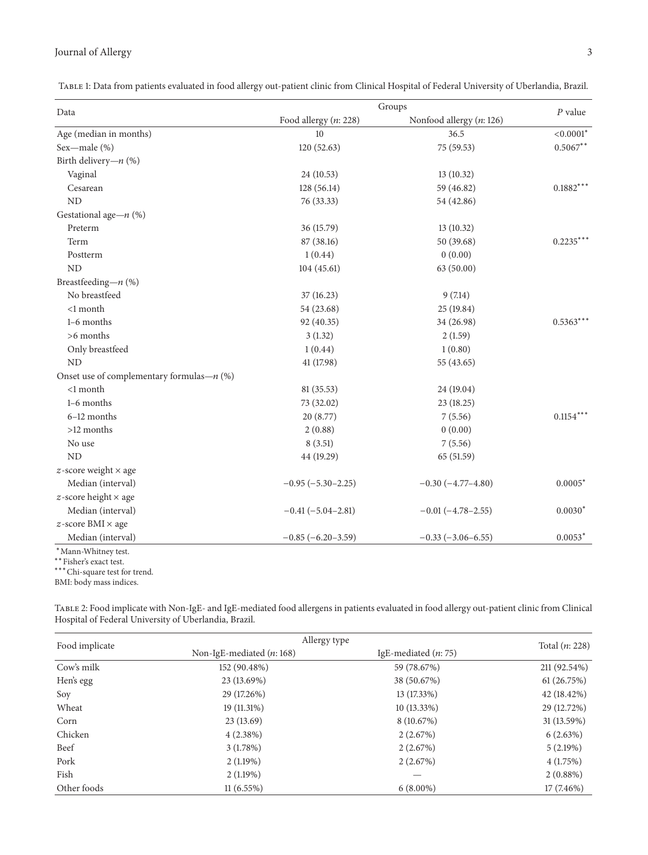## Journal of Allergy 3

Table 1: Data from patients evaluated in food allergy out-patient clinic from Clinical Hospital of Federal University of Uberlandia, Brazil.

| Data                                         | Groups                  |                          | $P$ value                   |
|----------------------------------------------|-------------------------|--------------------------|-----------------------------|
|                                              | Food allergy $(n: 228)$ | Nonfood allergy (n: 126) |                             |
| Age (median in months)                       | 10                      | 36.5                     | $<\hspace{-0.1cm} 0.0001^*$ |
| Sex-male (%)                                 | 120(52.63)              | 75 (59.53)               | $0.5067**$                  |
| Birth delivery- $n$ (%)                      |                         |                          |                             |
| Vaginal                                      | 24 (10.53)              | 13(10.32)                |                             |
| Cesarean                                     | 128 (56.14)             | 59 (46.82)               | $0.1882***$                 |
| ND                                           | 76 (33.33)              | 54 (42.86)               |                             |
| Gestational age- $n$ (%)                     |                         |                          |                             |
| Preterm                                      | 36 (15.79)              | 13 (10.32)               |                             |
| Term                                         | 87 (38.16)              | 50 (39.68)               | $0.2235***$                 |
| Postterm                                     | 1(0.44)                 | 0(0.00)                  |                             |
| ND                                           | 104(45.61)              | 63 (50.00)               |                             |
| Breastfeeding- $n$ (%)                       |                         |                          |                             |
| No breastfeed                                | 37 (16.23)              | 9(7.14)                  |                             |
| <1 month                                     | 54 (23.68)              | 25 (19.84)               |                             |
| 1-6 months                                   | 92 (40.35)              | 34 (26.98)               | $0.5363***$                 |
| $>6$ months                                  | 3(1.32)                 | 2(1.59)                  |                             |
| Only breastfeed                              | 1(0.44)                 | 1(0.80)                  |                             |
| N <sub>D</sub>                               | 41 (17.98)              | 55 (43.65)               |                             |
| Onset use of complementary formulas— $n$ (%) |                         |                          |                             |
| $<1$ month                                   | 81 (35.53)              | 24 (19.04)               |                             |
| 1-6 months                                   | 73 (32.02)              | 23 (18.25)               |                             |
| 6-12 months                                  | 20(8.77)                | 7(5.56)                  | $0.1154***$                 |
| >12 months                                   | 2(0.88)                 | 0(0.00)                  |                             |
| No use                                       | 8(3.51)                 | 7(5.56)                  |                             |
| ND                                           | 44 (19.29)              | 65 (51.59)               |                             |
| $z$ -score weight $\times$ age               |                         |                          |                             |
| Median (interval)                            | $-0.95(-5.30-2.25)$     | $-0.30(-4.77-4.80)$      | $0.0005*$                   |
| $z$ -score height $\times$ age               |                         |                          |                             |
| Median (interval)                            | $-0.41(-5.04-2.81)$     | $-0.01(-4.78-2.55)$      | $0.0030*$                   |
| $z$ -score BMI $\times$ age                  |                         |                          |                             |
| Median (interval)                            | $-0.85(-6.20-3.59)$     | $-0.33(-3.06-6.55)$      | $0.0053*$                   |

<sup>∗</sup>Mann-Whitney test.

∗∗Fisher's exact test. ∗∗∗Chi-square test for trend.

BMI: body mass indices.

Table 2: Food implicate with Non-IgE- and IgE-mediated food allergens in patients evaluated in food allergy out-patient clinic from Clinical Hospital of Federal University of Uberlandia, Brazil.

| Food implicate | Allergy type                |                        | Total $(n: 228)$ |
|----------------|-----------------------------|------------------------|------------------|
|                | Non-IgE-mediated $(n: 168)$ | IgE-mediated $(n: 75)$ |                  |
| Cow's milk     | 152 (90.48%)                | 59 (78.67%)            | 211 (92.54%)     |
| Hen's egg      | 23 (13.69%)                 | 38 (50.67%)            | 61(26.75%)       |
| Soy            | 29 (17.26%)                 | 13 (17.33%)            | 42 (18.42%)      |
| Wheat          | $19(11.31\%)$               | $10(13.33\%)$          | 29 (12.72%)      |
| Corn           | 23(13.69)                   | 8 (10.67%)             | 31 (13.59%)      |
| Chicken        | $4(2.38\%)$                 | 2(2.67%)               | 6(2.63%)         |
| Beef           | 3(1.78%)                    | 2(2.67%)               | 5(2.19%)         |
| Pork           | 2(1.19%)                    | 2(2.67%)               | 4(1.75%)         |
| Fish           | 2(1.19%)                    |                        | $2(0.88\%)$      |
| Other foods    | 11(6.55%)                   | $6(8.00\%)$            | $17(7.46\%)$     |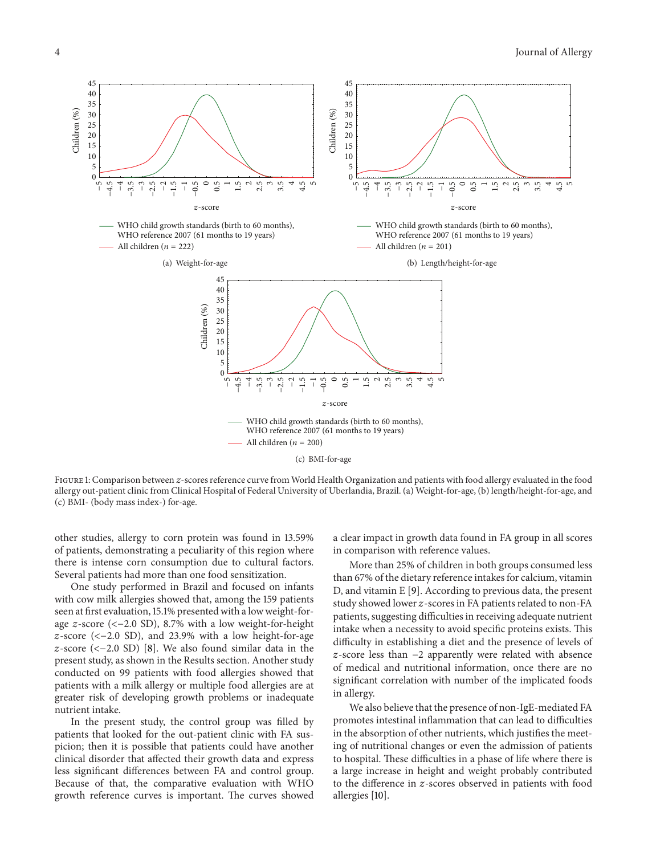

FIGURE 1: Comparison between z-scores reference curve from World Health Organization and patients with food allergy evaluated in the food allergy out-patient clinic from Clinical Hospital of Federal University of Uberlandia, Brazil. (a) Weight-for-age, (b) length/height-for-age, and (c) BMI- (body mass index-) for-age.

other studies, allergy to corn protein was found in 13.59% of patients, demonstrating a peculiarity of this region where there is intense corn consumption due to cultural factors. Several patients had more than one food sensitization.

One study performed in Brazil and focused on infants with cow milk allergies showed that, among the 159 patients seen at first evaluation, 15.1% presented with a low weight-forage  $z$ -score (<-2.0 SD), 8.7% with a low weight-for-height  $z$ -score (<-2.0 SD), and 23.9% with a low height-for-age  $z$ -score (<-2.0 SD) [8]. We also found similar data in the present study, as shown in the Results section. Another study conducted on 99 patients with food allergies showed that patients with a milk allergy or multiple food allergies are at greater risk of developing growth problems or inadequate nutrient intake.

In the present study, the control group was filled by patients that looked for the out-patient clinic with FA suspicion; then it is possible that patients could have another clinical disorder that affected their growth data and express less significant differences between FA and control group. Because of that, the comparative evaluation with WHO growth reference curves is important. The curves showed a clear impact in growth data found in FA group in all scores in comparison with reference values.

More than 25% of children in both groups consumed less than 67% of the dietary reference intakes for calcium, vitamin D, and vitamin E [9]. According to previous data, the present study showed lower z-scores in FA patients related to non-FA patients, suggesting difficulties in receiving adequate nutrient intake when a necessity to avoid specific proteins exists. This difficulty in establishing a diet and the presence of levels of -score less than −2 apparently were related with absence of medical and nutritional information, once there are no significant correlation with number of the implicated foods in allergy.

We also believe that the presence of non-IgE-mediated FA promotes intestinal inflammation that can lead to difficulties in the absorption of other nutrients, which justifies the meeting of nutritional changes or even the admission of patients to hospital. These difficulties in a phase of life where there is a large increase in height and weight probably contributed to the difference in  $z$ -scores observed in patients with food allergies [10].